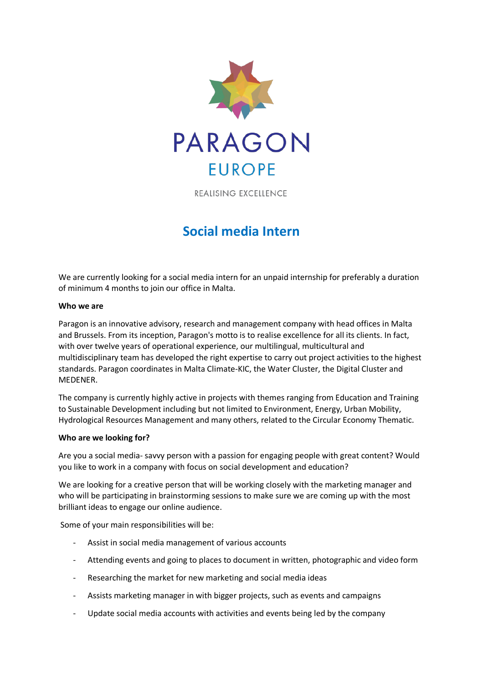

**REALISING EXCELLENCE** 

## **Social media Intern**

We are currently looking for a social media intern for an unpaid internship for preferably a duration of minimum 4 months to join our office in Malta.

## **Who we are**

Paragon is an innovative advisory, research and management company with head offices in Malta and Brussels. From its inception, Paragon's motto is to realise excellence for all its clients. In fact, with over twelve years of operational experience, our multilingual, multicultural and multidisciplinary team has developed the right expertise to carry out project activities to the highest standards. Paragon coordinates in Malta Climate-KIC, the Water Cluster, the Digital Cluster and MEDENER.

The company is currently highly active in projects with themes ranging from Education and Training to Sustainable Development including but not limited to Environment, Energy, Urban Mobility, Hydrological Resources Management and many others, related to the Circular Economy Thematic.

## **Who are we looking for?**

Are you a social media- savvy person with a passion for engaging people with great content? Would you like to work in a company with focus on social development and education?

We are looking for a creative person that will be working closely with the marketing manager and who will be participating in brainstorming sessions to make sure we are coming up with the most brilliant ideas to engage our online audience.

Some of your main responsibilities will be:

- Assist in social media management of various accounts
- Attending events and going to places to document in written, photographic and video form
- Researching the market for new marketing and social media ideas
- Assists marketing manager in with bigger projects, such as events and campaigns
- Update social media accounts with activities and events being led by the company